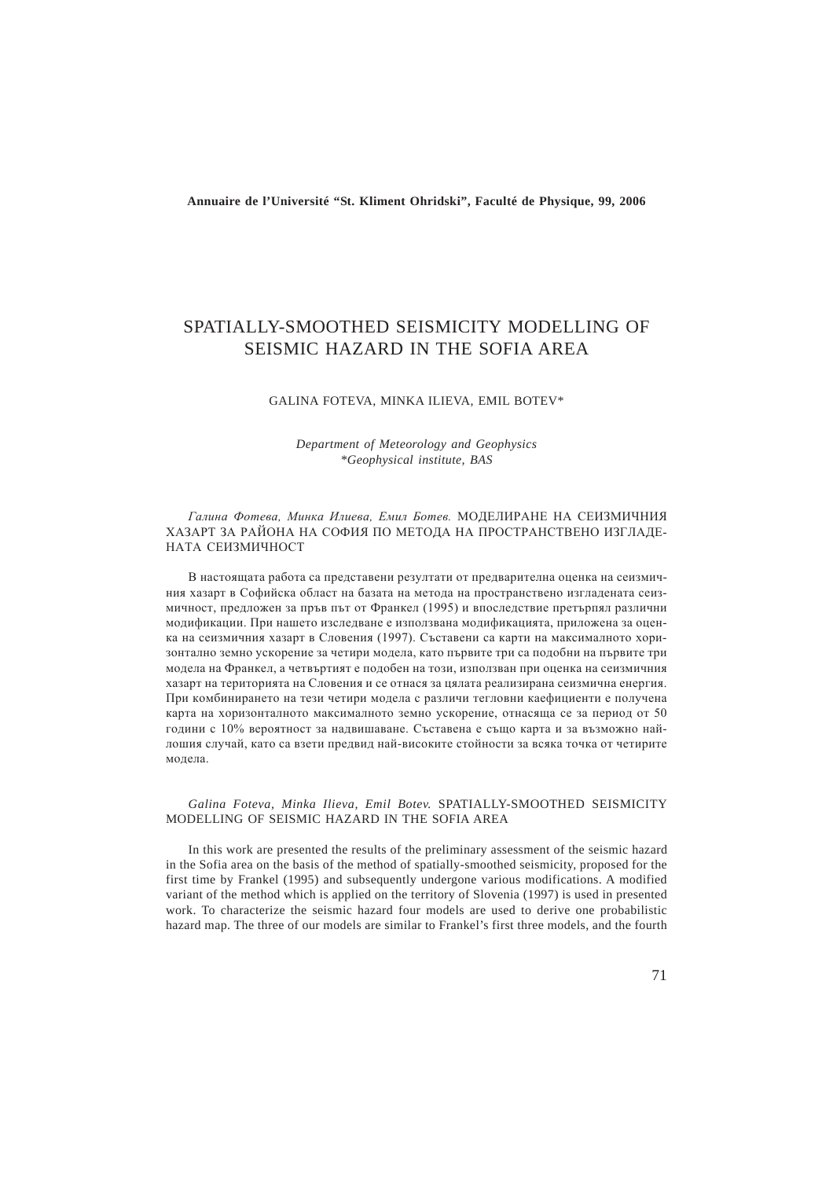**Annuaire de l'Université "St. Kliment Ohridski", Faculté de Physique, 99, 2006**

# SPATIALLY-SMOOTHED SEISMICITY MODELLING OF SEISMIC HAZARD IN THE SOFIA AREA

#### GALINA FOTEVA, MINKA ILIEVA, EMIL BOTEV\*

*Department of Meteorology and Geophysics \*Geophysical institute, BAS*

Галина Фотева, Минка Илиева, Емил Ботев. МОДЕЛИРАНЕ НА СЕИЗМИЧНИЯ ХАЗАРТ ЗА РАЙОНА НА СОФИЯ ПО МЕТОДА НА ПРОСТРАНСТВЕНО ИЗГЛАДЕ-НАТА СЕИЗМИЧНОСТ

В настоящата работа са представени резултати от предварителна оценка на сеизмичния хазарт в Софийска област на базата на метола на пространствено изглалената сеизмичност, предложен за пръв път от Франкел (1995) и впоследствие претърпял различни модификации. При нашето изследване е използвана модификацията, приложена за оценка на сеизмичния хазарт в Словения (1997). Съставени са карти на максималното хоризонтално земно ускорение за четири модела, като първите три са подобни на първите три молела на Франкел, а четвъртият е полобен на този, използван при опенка на сеизмичния хазарт на територията на Словения и се отнася за цялата реализирана сеизмична енергия. При комбинирането на тези четири модела с различи тегловни каефициенти е получена карта на хоризонталното максималното земно ускорение, отнасяща се за период от 50 години с 10% вероятност за надвишаване. Съставена е също карта и за възможно найлошия случай, като са взети предвид най-високите стойности за всяка точка от четирите модела.

*Galina Foteva, Minka Ilieva, Emil Botev.* SPATIALLY-SMOOTHED SEISMICITY MODELLING OF SEISMIC HAZARD IN THE SOFIA AREA

In this work are presented the results of the preliminary assessment of the seismic hazard in the Sofia area on the basis of the method of spatially-smoothed seismicity, proposed for the first time by Frankel (1995) and subsequently undergone various modifications. A modified variant of the method which is applied on the territory of Slovenia (1997) is used in presented work. To characterize the seismic hazard four models are used to derive one probabilistic hazard map. The three of our models are similar to Frankel's first three models, and the fourth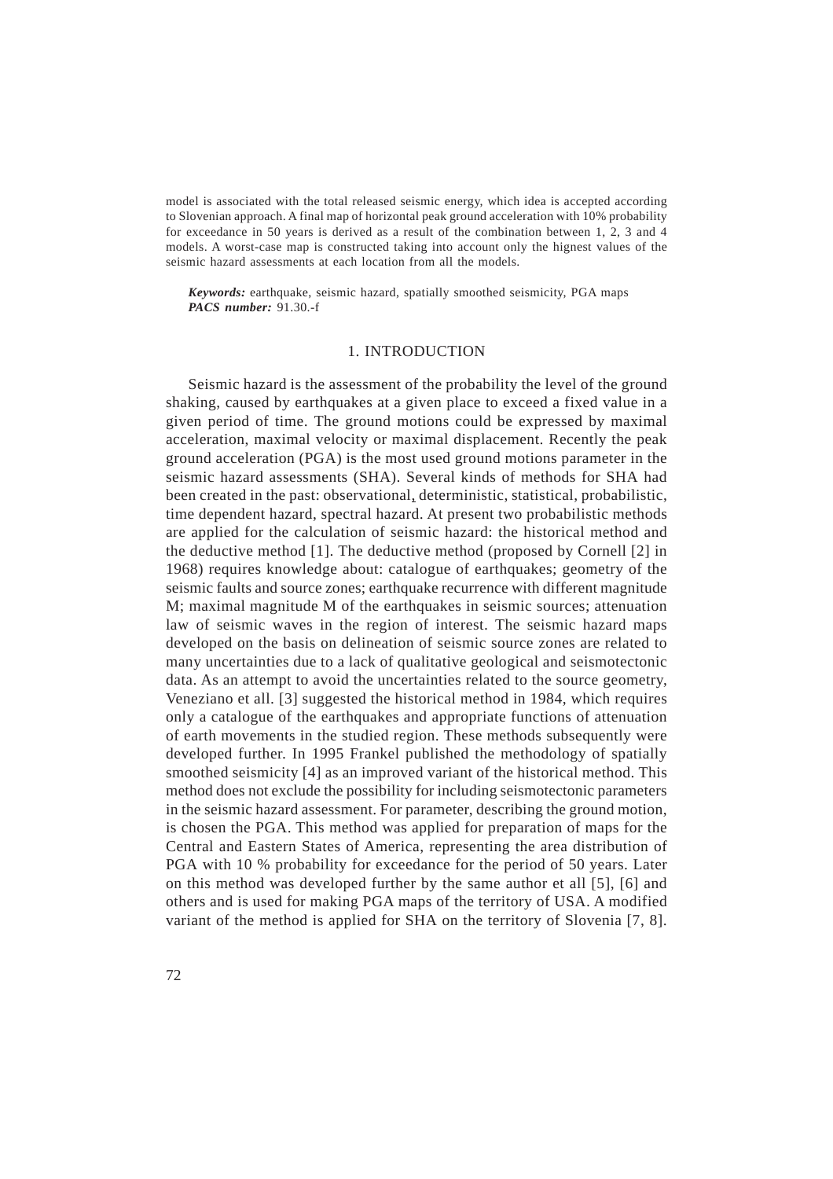model is associated with the total released seismic energy, which idea is accepted according to Slovenian approach. A final map of horizontal peak ground acceleration with 10% probability for exceedance in 50 years is derived as a result of the combination between 1, 2, 3 and 4 models. A worst-case map is constructed taking into account only the hignest values of the seismic hazard assessments at each location from all the models.

*Keywords:* earthquake, seismic hazard, spatially smoothed seismicity, PGA maps *PACS number:* 91.30.-f

## 1. INTRODUCTION

Seismic hazard is the assessment of the probability the level of the ground shaking, caused by earthquakes at a given place to exceed a fixed value in a given period of time. The ground motions could be expressed by maximal acceleration, maximal velocity or maximal displacement. Recently the peak ground acceleration (PGA) is the most used ground motions parameter in the seismic hazard assessments (SHA). Several kinds of methods for SHA had been created in the past: observational, deterministic, statistical, probabilistic, time dependent hazard, spectral hazard. At present two probabilistic methods are applied for the calculation of seismic hazard: the historical method and the deductive method [1]. The deductive method (proposed by Cornell [2] in 1968) requires knowledge about: catalogue of earthquakes; geometry of the seismic faults and source zones; earthquake recurrence with different magnitude M; maximal magnitude M of the earthquakes in seismic sources; attenuation law of seismic waves in the region of interest. The seismic hazard maps developed on the basis on delineation of seismic source zones are related to many uncertainties due to a lack of qualitative geological and seismotectonic data. As an attempt to avoid the uncertainties related to the source geometry, Veneziano et all. [3] suggested the historical method in 1984, which requires only a catalogue of the earthquakes and appropriate functions of attenuation of earth movements in the studied region. These methods subsequently were developed further. In 1995 Frankel published the methodology of spatially smoothed seismicity [4] as an improved variant of the historical method. This method does not exclude the possibility for including seismotectonic parameters in the seismic hazard assessment. For parameter, describing the ground motion, is chosen the PGA. This method was applied for preparation of maps for the Central and Eastern States of America, representing the area distribution of PGA with 10 % probability for exceedance for the period of 50 years. Later on this method was developed further by the same author et all [5], [6] and others and is used for making PGA maps of the territory of USA. A modified variant of the method is applied for SHA on the territory of Slovenia [7, 8].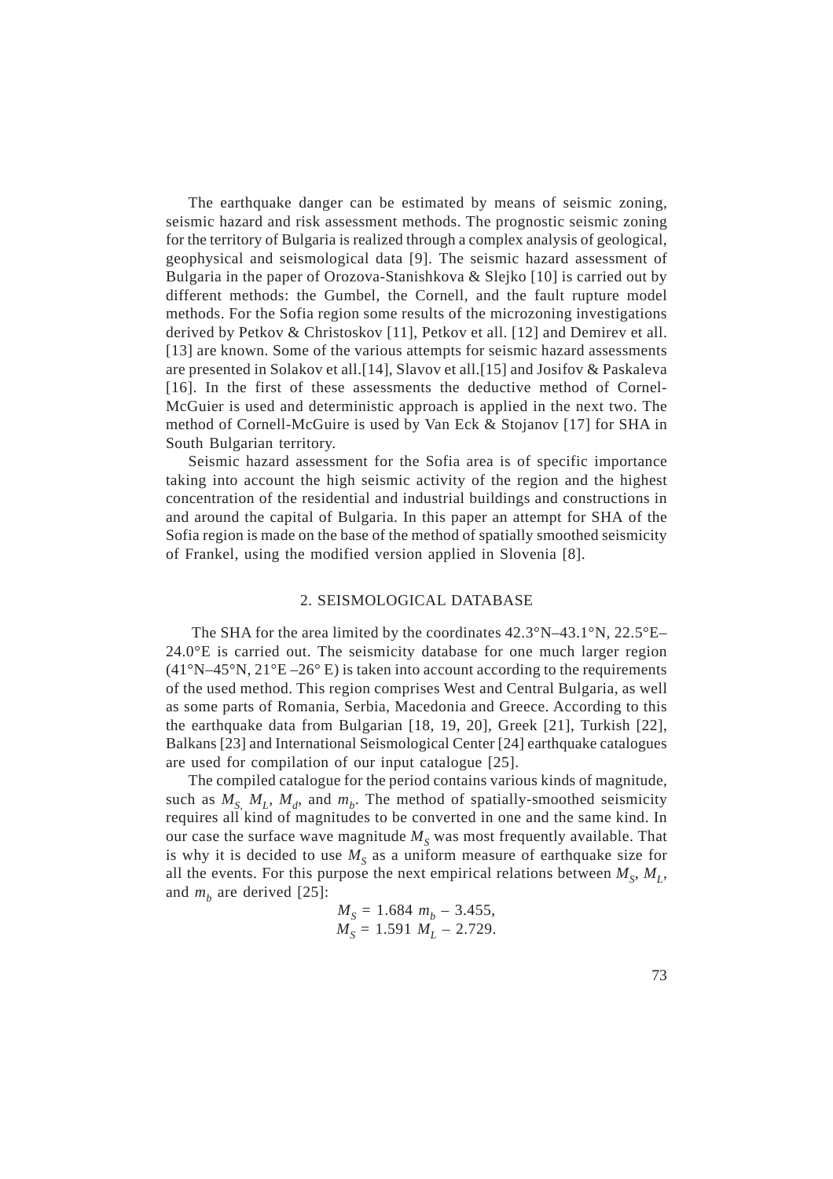The earthquake danger can be estimated by means of seismic zoning, seismic hazard and risk assessment methods. The prognostic seismic zoning for the territory of Bulgaria is realized through a complex analysis of geological, geophysical and seismological data [9]. The seismic hazard assessment of Bulgaria in the paper of Orozova-Stanishkova & Slejko [10] is carried out by different methods: the Gumbel, the Cornell, and the fault rupture model methods. For the Sofia region some results of the microzoning investigations derived by Petkov & Christoskov [11], Petkov et all. [12] and Demirev et all. [13] are known. Some of the various attempts for seismic hazard assessments are presented in Solakov et all.[14], Slavov et all.[15] and Josifov & Paskaleva [16]. In the first of these assessments the deductive method of Cornel-McGuier is used and deterministic approach is applied in the next two. The method of Cornell-McGuire is used by Van Eck & Stojanov [17] for SHA in South Bulgarian territory.

Seismic hazard assessment for the Sofia area is of specific importance taking into account the high seismic activity of the region and the highest concentration of the residential and industrial buildings and constructions in and around the capital of Bulgaria. In this paper an attempt for SHA of the Sofia region is made on the base of the method of spatially smoothed seismicity of Frankel, using the modified version applied in Slovenia [8].

### 2. SEISMOLOGICAL DATABASE

 The SHA for the area limited by the coordinates 42.3°N–43.1°N, 22.5°E– 24.0°E is carried out. The seismicity database for one much larger region  $(41°N-45°N, 21°E-26°E)$  is taken into account according to the requirements of the used method. This region comprises West and Central Bulgaria, as well as some parts of Romania, Serbia, Macedonia and Greece. According to this the earthquake data from Bulgarian [18, 19, 20], Greek [21], Turkish [22], Balkans [23] and International Seismological Center [24] earthquake catalogues are used for compilation of our input catalogue [25].

The compiled catalogue for the period contains various kinds of magnitude, such as  $M_s$ ,  $M_l$ ,  $M_d$ , and  $m_b$ . The method of spatially-smoothed seismicity requires all kind of magnitudes to be converted in one and the same kind. In our case the surface wave magnitude  $M<sub>S</sub>$  was most frequently available. That is why it is decided to use  $M<sub>S</sub>$  as a uniform measure of earthquake size for all the events. For this purpose the next empirical relations between  $M_S$ ,  $M_L$ , and  $m_b$  are derived [25]:

$$
M_S = 1.684 m_b - 3.455,
$$
  
\n
$$
M_S = 1.591 M_L - 2.729.
$$

73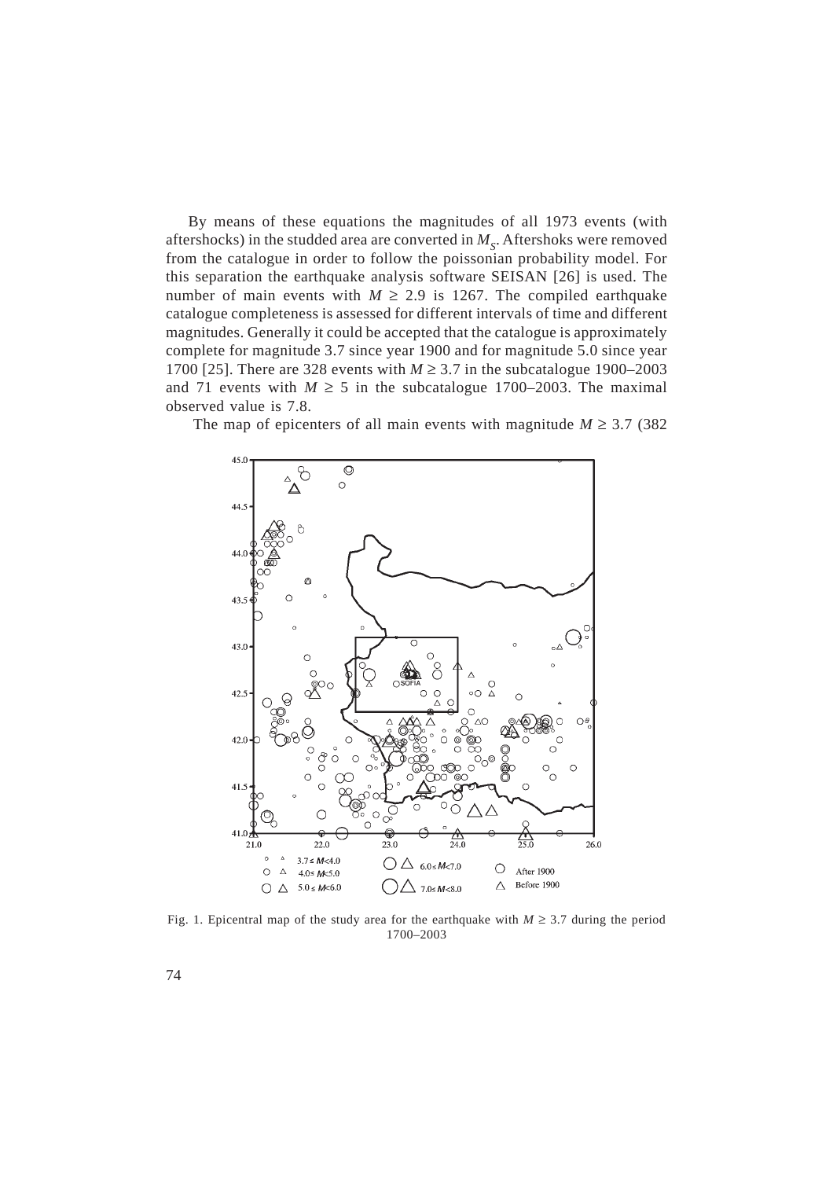By means of these equations the magnitudes of all 1973 events (with aftershocks) in the studded area are converted in  $M<sub>s</sub>$ . Aftershoks were removed from the catalogue in order to follow the poissonian probability model. For this separation the earthquake analysis software SEISAN [26] is used. The number of main events with  $M \ge 2.9$  is 1267. The compiled earthquake catalogue completeness is assessed for different intervals of time and different magnitudes. Generally it could be accepted that the catalogue is approximately complete for magnitude 3.7 since year 1900 and for magnitude 5.0 since year 1700 [25]. There are 328 events with  $M \ge 3.7$  in the subcatalogue 1900–2003 and 71 events with  $M \ge 5$  in the subcatalogue 1700–2003. The maximal observed value is 7.8.

The map of epicenters of all main events with magnitude  $M \geq 3.7$  (382)



Fig. 1. Epicentral map of the study area for the earthquake with  $M \geq 3.7$  during the period 1700–2003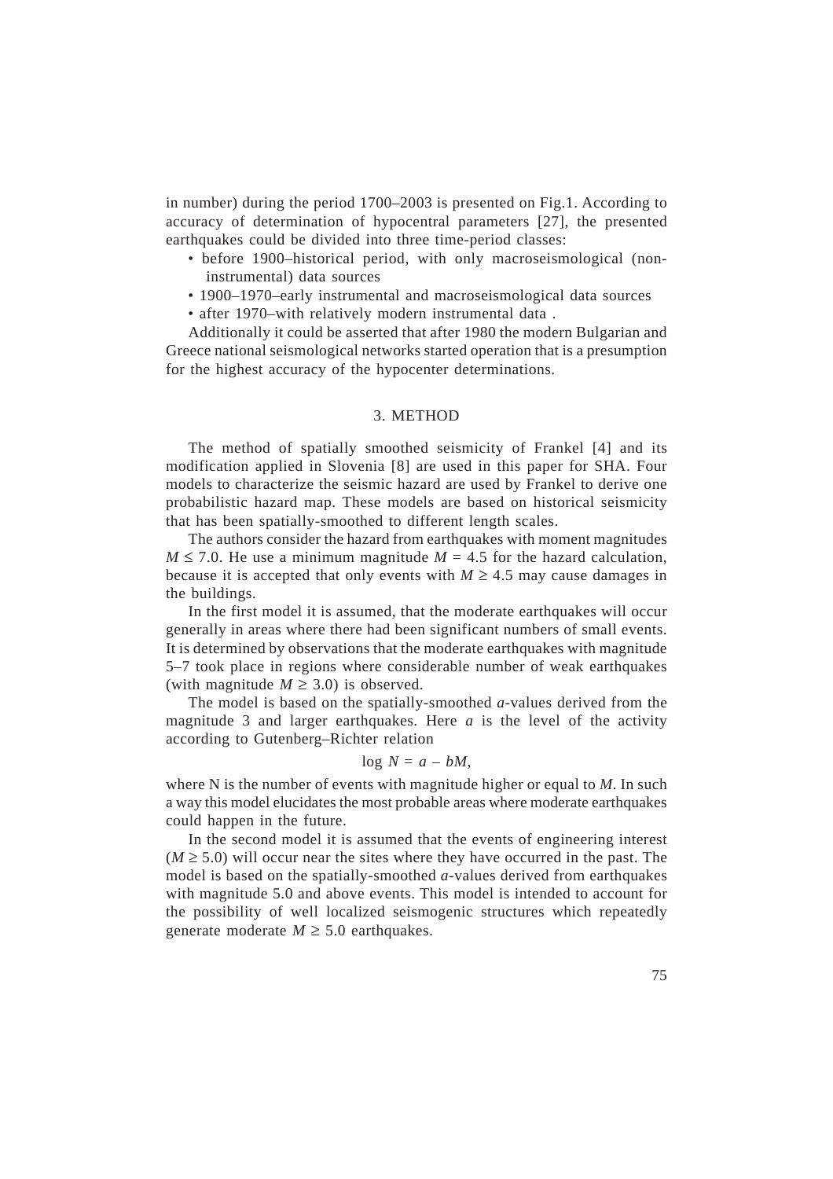in number) during the period 1700–2003 is presented on Fig.1. According to accuracy of determination of hypocentral parameters [27], the presented earthquakes could be divided into three time-period classes:

- before 1900–historical period, with only macroseismological (noninstrumental) data sources
- 1900–1970–early instrumental and macroseismological data sources
- after 1970–with relatively modern instrumental data .

Additionally it could be asserted that after 1980 the modern Bulgarian and Greece national seismological networks started operation that is a presumption for the highest accuracy of the hypocenter determinations.

### 3. METHOD

The method of spatially smoothed seismicity of Frankel [4] and its modification applied in Slovenia [8] are used in this paper for SHA. Four models to characterize the seismic hazard are used by Frankel to derive one probabilistic hazard map. These models are based on historical seismicity that has been spatially-smoothed to different length scales.

The authors consider the hazard from earthquakes with moment magnitudes  $M \le 7.0$ . He use a minimum magnitude  $M = 4.5$  for the hazard calculation, because it is accepted that only events with  $M \geq 4.5$  may cause damages in the buildings.

In the first model it is assumed, that the moderate earthquakes will occur generally in areas where there had been significant numbers of small events. It is determined by observations that the moderate earthquakes with magnitude 5–7 took place in regions where considerable number of weak earthquakes (with magnitude  $M \geq 3.0$ ) is observed.

The model is based on the spatially-smoothed *a*-values derived from the magnitude 3 and larger earthquakes. Here *a* is the level of the activity according to Gutenberg–Richter relation

# $log N = a - bM$ ,

where N is the number of events with magnitude higher or equal to *M*. In such a way this model elucidates the most probable areas where moderate earthquakes could happen in the future.

In the second model it is assumed that the events of engineering interest  $(M \geq 5.0)$  will occur near the sites where they have occurred in the past. The model is based on the spatially-smoothed *a*-values derived from earthquakes with magnitude 5.0 and above events. This model is intended to account for the possibility of well localized seismogenic structures which repeatedly generate moderate  $M \geq 5.0$  earthquakes.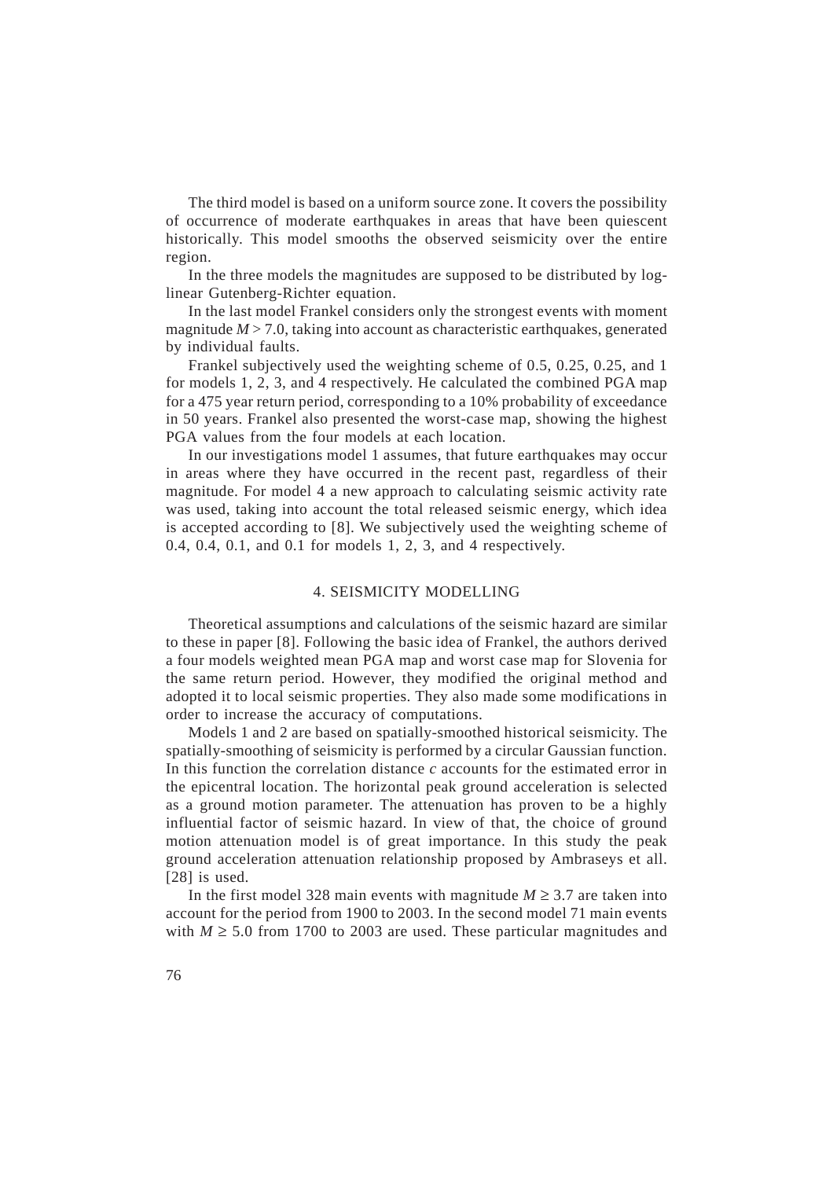The third model is based on a uniform source zone. It covers the possibility of occurrence of moderate earthquakes in areas that have been quiescent historically. This model smooths the observed seismicity over the entire region.

In the three models the magnitudes are supposed to be distributed by loglinear Gutenberg-Richter equation.

In the last model Frankel considers only the strongest events with moment magnitude  $M > 7.0$ , taking into account as characteristic earthquakes, generated by individual faults.

Frankel subjectively used the weighting scheme of 0.5, 0.25, 0.25, and 1 for models 1, 2, 3, and 4 respectively. He calculated the combined PGA map for a 475 year return period, corresponding to a 10% probability of exceedance in 50 years. Frankel also presented the worst-case map, showing the highest PGA values from the four models at each location.

In our investigations model 1 assumes, that future earthquakes may occur in areas where they have occurred in the recent past, regardless of their magnitude. For model 4 a new approach to calculating seismic activity rate was used, taking into account the total released seismic energy, which idea is accepted according to [8]. We subjectively used the weighting scheme of 0.4, 0.4, 0.1, and 0.1 for models 1, 2, 3, and 4 respectively.

### 4. SEISMICITY MODELLING

Theoretical assumptions and calculations of the seismic hazard are similar to these in paper [8]. Following the basic idea of Frankel, the authors derived a four models weighted mean PGA map and worst case map for Slovenia for the same return period. However, they modified the original method and adopted it to local seismic properties. They also made some modifications in order to increase the accuracy of computations.

Models 1 and 2 are based on spatially-smoothed historical seismicity. The spatially-smoothing of seismicity is performed by a circular Gaussian function. In this function the correlation distance *c* accounts for the estimated error in the epicentral location. The horizontal peak ground acceleration is selected as a ground motion parameter. The attenuation has proven to be a highly influential factor of seismic hazard. In view of that, the choice of ground motion attenuation model is of great importance. In this study the peak ground acceleration attenuation relationship proposed by Ambraseys et all. [28] is used.

In the first model 328 main events with magnitude  $M \geq 3.7$  are taken into account for the period from 1900 to 2003. In the second model 71 main events with  $M \geq 5.0$  from 1700 to 2003 are used. These particular magnitudes and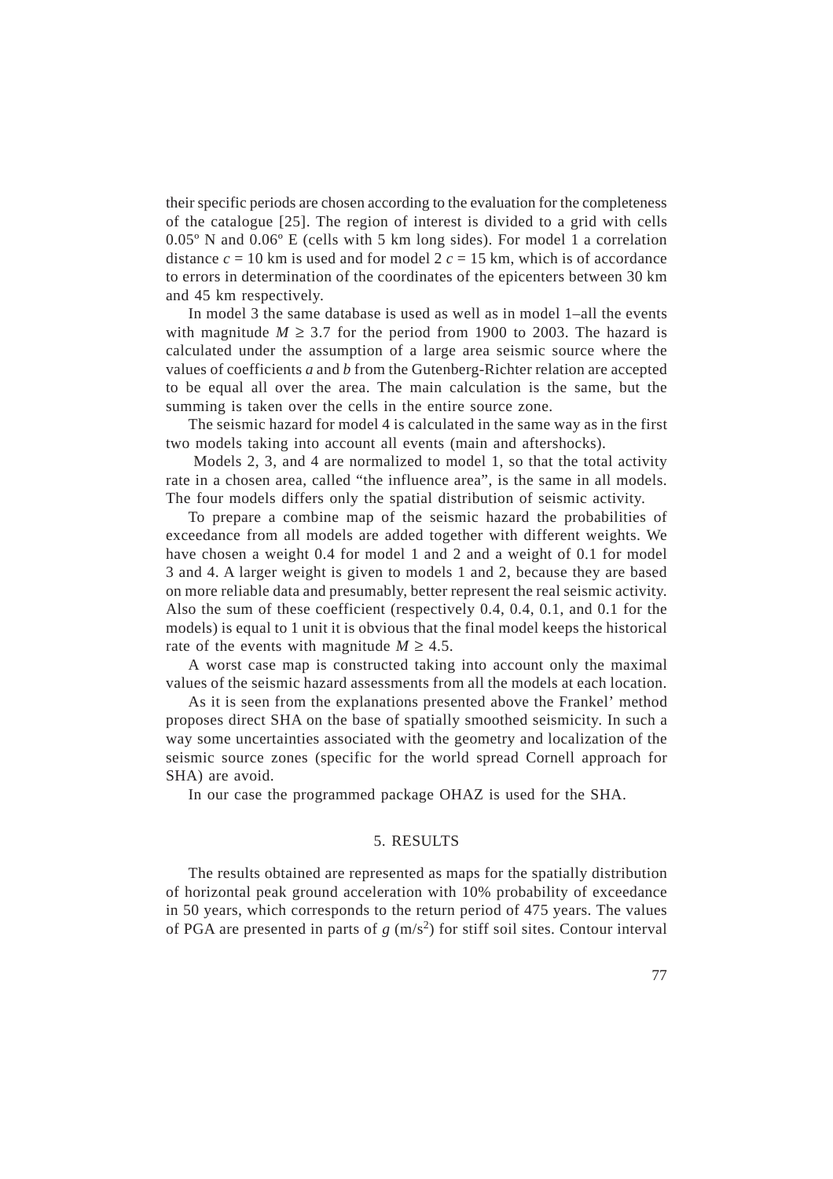their specific periods are chosen according to the evaluation for the completeness of the catalogue [25]. The region of interest is divided to a grid with cells 0.05º N and 0.06º E (cells with 5 km long sides). For model 1 a correlation distance  $c = 10$  km is used and for model 2  $c = 15$  km, which is of accordance to errors in determination of the coordinates of the epicenters between 30 km and 45 km respectively.

In model 3 the same database is used as well as in model 1–all the events with magnitude  $M \geq 3.7$  for the period from 1900 to 2003. The hazard is calculated under the assumption of a large area seismic source where the values of coefficients *a* and *b* from the Gutenberg-Richter relation are accepted to be equal all over the area. The main calculation is the same, but the summing is taken over the cells in the entire source zone.

The seismic hazard for model 4 is calculated in the same way as in the first two models taking into account all events (main and aftershocks).

 Models 2, 3, and 4 are normalized to model 1, so that the total activity rate in a chosen area, called "the influence area", is the same in all models. The four models differs only the spatial distribution of seismic activity.

To prepare a combine map of the seismic hazard the probabilities of exceedance from all models are added together with different weights. We have chosen a weight 0.4 for model 1 and 2 and a weight of 0.1 for model 3 and 4. A larger weight is given to models 1 and 2, because they are based on more reliable data and presumably, better represent the real seismic activity. Also the sum of these coefficient (respectively 0.4, 0.4, 0.1, and 0.1 for the models) is equal to 1 unit it is obvious that the final model keeps the historical rate of the events with magnitude  $M \geq 4.5$ .

A worst case map is constructed taking into account only the maximal values of the seismic hazard assessments from all the models at each location.

As it is seen from the explanations presented above the Frankel' method proposes direct SHA on the base of spatially smoothed seismicity. In such a way some uncertainties associated with the geometry and localization of the seismic source zones (specific for the world spread Cornell approach for SHA) are avoid.

In our case the programmed package OHAZ is used for the SHA.

### 5. RESULTS

The results obtained are represented as maps for the spatially distribution of horizontal peak ground acceleration with 10% probability of exceedance in 50 years, which corresponds to the return period of 475 years. The values of PGA are presented in parts of  $g$  (m/s<sup>2</sup>) for stiff soil sites. Contour interval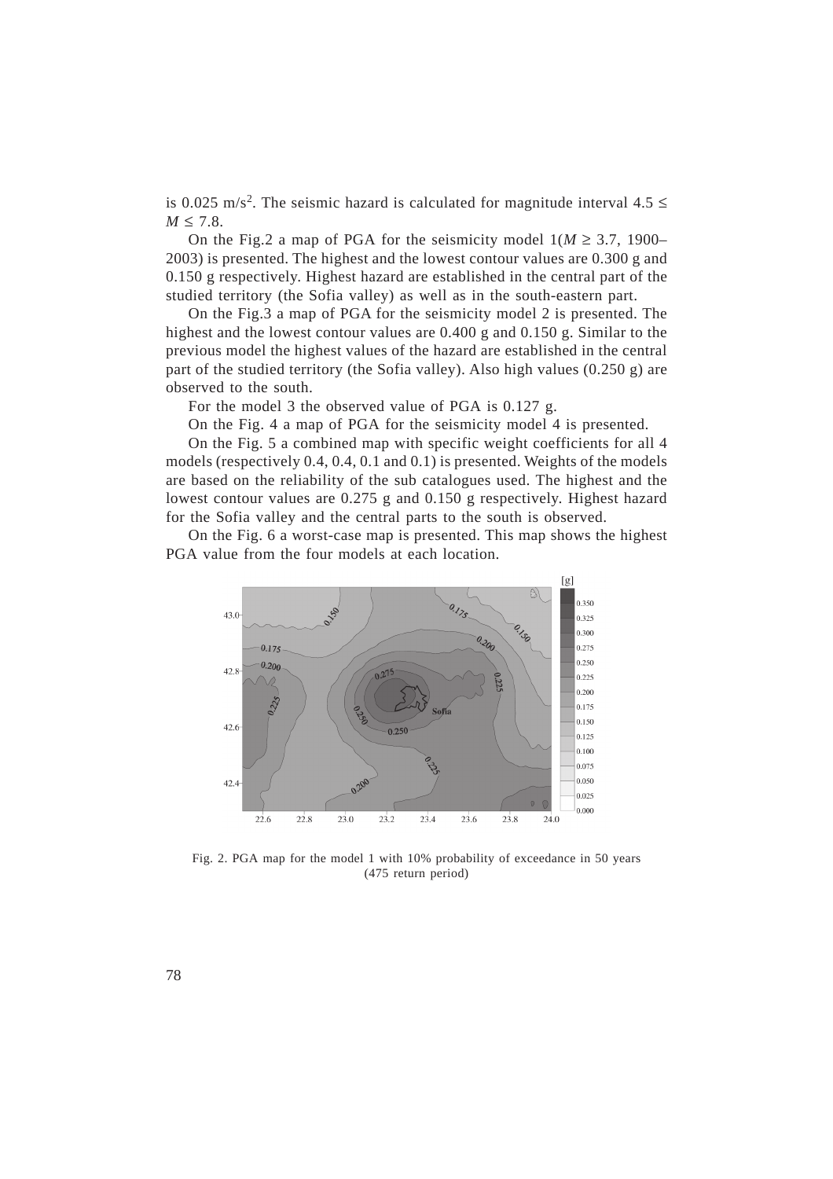is 0.025 m/s<sup>2</sup>. The seismic hazard is calculated for magnitude interval  $4.5 \le$  $M \leq 7.8$ .

On the Fig.2 a map of PGA for the seismicity model  $1/M \geq 3.7$ , 1900– 2003) is presented. The highest and the lowest contour values are 0.300 g and 0.150 g respectively. Highest hazard are established in the central part of the studied territory (the Sofia valley) as well as in the south-eastern part.

On the Fig.3 a map of PGA for the seismicity model 2 is presented. The highest and the lowest contour values are 0.400 g and 0.150 g. Similar to the previous model the highest values of the hazard are established in the central part of the studied territory (the Sofia valley). Also high values  $(0.250 \text{ g})$  are observed to the south.

For the model 3 the observed value of PGA is 0.127 g.

On the Fig. 4 a map of PGA for the seismicity model 4 is presented.

On the Fig. 5 a combined map with specific weight coefficients for all 4 models (respectively 0.4, 0.4, 0.1 and 0.1) is presented. Weights of the models are based on the reliability of the sub catalogues used. The highest and the lowest contour values are 0.275 g and 0.150 g respectively. Highest hazard for the Sofia valley and the central parts to the south is observed.

On the Fig. 6 a worst-case map is presented. This map shows the highest PGA value from the four models at each location.



Fig. 2. PGA map for the model 1 with 10% probability of exceedance in 50 years (475 return period)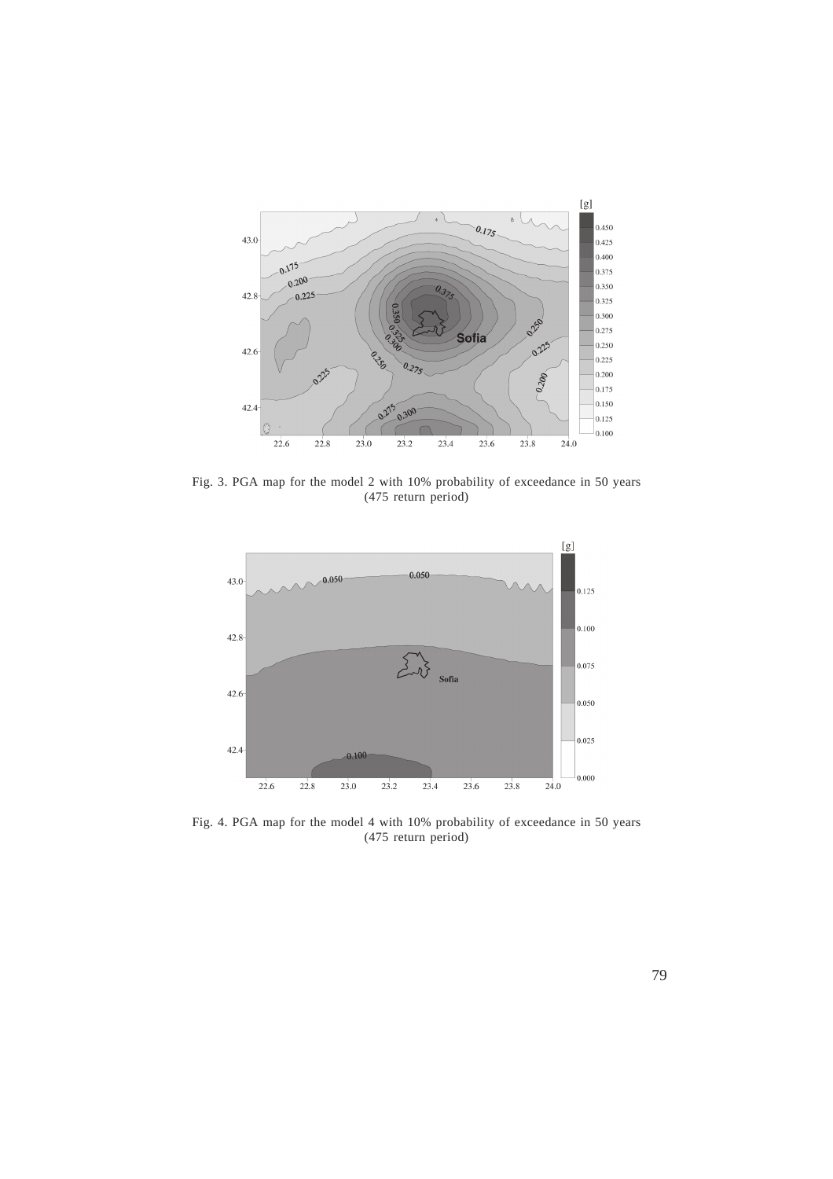

Fig. 3. PGA map for the model 2 with 10% probability of exceedance in 50 years (475 return period)



Fig. 4. PGA map for the model 4 with 10% probability of exceedance in 50 years (475 return period)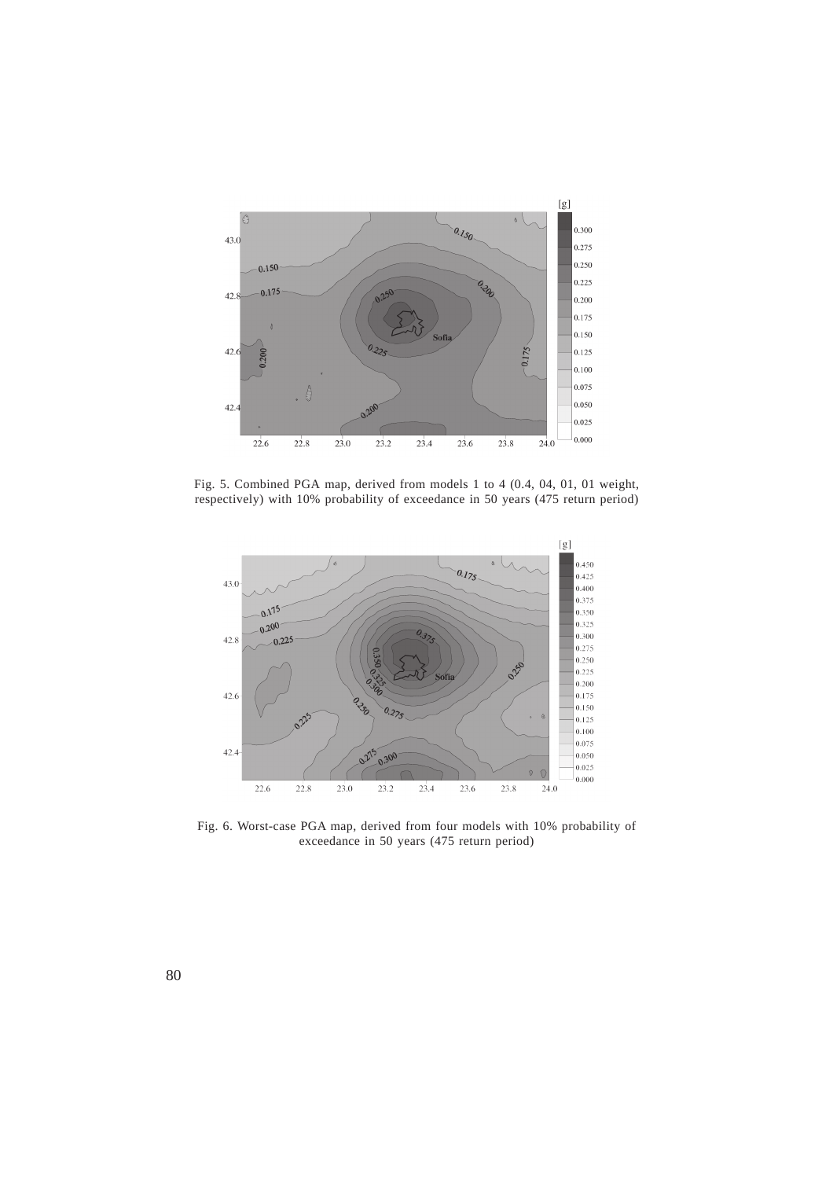

Fig. 5. Combined PGA map, derived from models 1 to 4 (0.4, 04, 01, 01 weight, respectively) with 10% probability of exceedance in 50 years (475 return period)



Fig. 6. Worst-case PGA map, derived from four models with 10% probability of exceedance in 50 years (475 return period)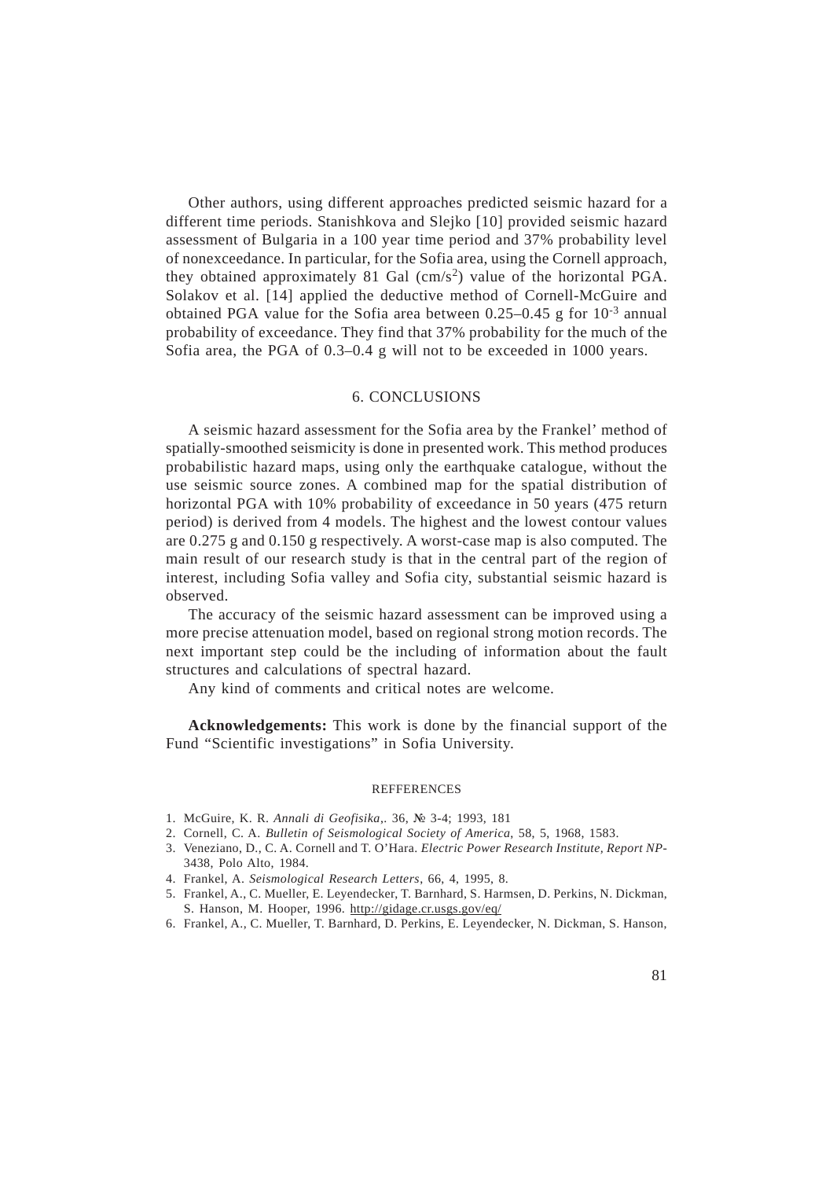Other authors, using different approaches predicted seismic hazard for a different time periods. Stanishkova and Slejko [10] provided seismic hazard assessment of Bulgaria in a 100 year time period and 37% probability level of nonexceedance. In particular, for the Sofia area, using the Cornell approach, they obtained approximately 81 Gal  $\text{(cm/s}^2)$  value of the horizontal PGA. Solakov et al. [14] applied the deductive method of Cornell-McGuire and obtained PGA value for the Sofia area between  $0.25-0.45$  g for  $10^{-3}$  annual probability of exceedance. They find that 37% probability for the much of the Sofia area, the PGA of 0.3–0.4 g will not to be exceeded in 1000 years.

### 6. CONCLUSIONS

A seismic hazard assessment for the Sofia area by the Frankel' method of spatially-smoothed seismicity is done in presented work. This method produces probabilistic hazard maps, using only the earthquake catalogue, without the use seismic source zones. A combined map for the spatial distribution of horizontal PGA with 10% probability of exceedance in 50 years (475 return period) is derived from 4 models. The highest and the lowest contour values are 0.275 g and 0.150 g respectively. A worst-case map is also computed. The main result of our research study is that in the central part of the region of interest, including Sofia valley and Sofia city, substantial seismic hazard is observed.

The accuracy of the seismic hazard assessment can be improved using a more precise attenuation model, based on regional strong motion records. The next important step could be the including of information about the fault structures and calculations of spectral hazard.

Any kind of comments and critical notes are welcome.

**Acknowledgements:** This work is done by the financial support of the Fund "Scientific investigations" in Sofia University.

#### REFFERENCES

- 1. McGuire, K. R. *Annali di Geofisika*,. 36, № 3-4; 1993, 181
- 2. Cornell, C. A. *Bulletin of Seismological Society of America*, 58, 5, 1968, 1583.
- 3. Veneziano, D., C. A. Cornell and T. O'Hara. *Electric Power Research Institute, Report NP-*3438, Polo Alto, 1984.
- 4. Frankel, A. *Seismological Research Letters*, 66, 4, 1995, 8.
- 5. Frankel, A., C. Mueller, E. Leyendecker, T. Barnhard, S. Harmsen, D. Perkins, N. Dickman, S. Hanson, M. Hooper, 1996. http://gidage.cr.usgs.gov/eq/
- 6. Frankel, A., C. Mueller, T. Barnhard, D. Perkins, E. Leyendecker, N. Dickman, S. Hanson,